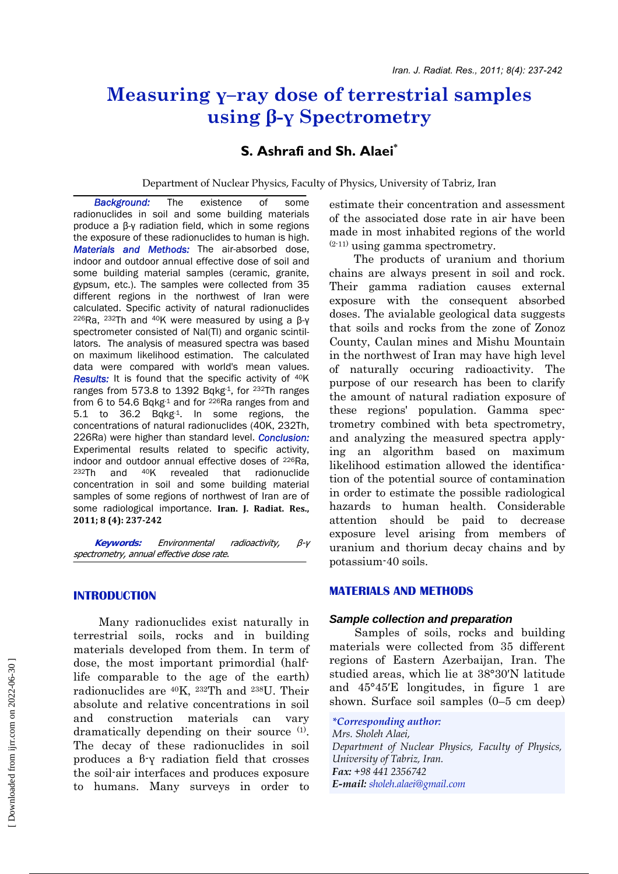# **Measuring γ–ray dose of terrestrial samples using β-γ Spectrometry**

# **S. Ashrafi and Sh. Alaei\***

Department of Nuclear Physics, Faculty of Physics, University of Tabriz, Iran

 *Background:* The existence of some radionuclides in soil and some building materials produce a β-γ radiation field, which in some regions the exposure of these radionuclides to human is high. *Materials and Methods:* The air-absorbed dose, indoor and outdoor annual effective dose of soil and some building material samples (ceramic, granite, gypsum, etc.). The samples were collected from 35 different regions in the northwest of Iran were calculated. Specific activity of natural radionuclides <sup>226</sup>Ra, <sup>232</sup>Th and <sup>40</sup>K were measured by using a β-γ spectrometer consisted of NaI(Tl) and organic scintillators. The analysis of measured spectra was based on maximum likelihood estimation. The calculated data were compared with world's mean values. *Results:* It is found that the specific activity of <sup>40</sup>K ranges from 573.8 to 1392 Bqkg-1, for <sup>232</sup>Th ranges from 6 to 54.6 Bqkg $1$  and for  $226$ Ra ranges from and 5.1 to 36.2 Bqkg-1. In some regions, the concentrations of natural radionuclides (40K, 232Th, 226Ra) were higher than standard level. *Conclusion:* Experimental results related to specific activity, indoor and outdoor annual effective doses of 226Ra, 232Th and 40K revealed that radionuclide concentration in soil and some building material samples of some regions of northwest of Iran are of some radiological importance. **Iran. J. Radiat. Res., 2011; 8 (4): 237242**

 **Keywords:** Environmental radioactivity, β-γ spectrometry, annual effective dose rate.

# **INTRODUCTION**

 Many radionuclides exist naturally in terrestrial soils, rocks and in building materials developed from them. In term of dose, the most important primordial (halflife comparable to the age of the earth) radionuclides are 40K, 232Th and 238U. Their absolute and relative concentrations in soil and construction materials can vary dramatically depending on their source  $(1)$ . The decay of these radionuclides in soil produces a β-γ radiation field that crosses the soil-air interfaces and produces exposure to humans. Many surveys in order to estimate their concentration and assessment of the associated dose rate in air have been made in most inhabited regions of the world (2-11) using gamma spectrometry.

 The products of uranium and thorium chains are always present in soil and rock. Their gamma radiation causes external exposure with the consequent absorbed doses. The avialable geological data suggests that soils and rocks from the zone of Zonoz County, Caulan mines and Mishu Mountain in the northwest of Iran may have high level naturally occuring radioactivity. The purpose of our research has been to clarify the amount of natural radiation exposure of these regions' population. Gamma spectrometry combined with beta spectrometry, and analyzing the measured spectra applying an algorithm based on maximum likelihood estimation allowed the identification of the potential source of contamination in order to estimate the possible radiological hazards to human health. Considerable attention should be paid to decrease exposure level arising from members of uranium and thorium decay chains and by potassium-40 soils.

# **MATERIALS AND METHODS**

#### *Sample collection and preparation*

 Samples of soils, rocks and building materials were collected from 35 different regions of Eastern Azerbaijan, Iran. The studied areas, which lie at 38°30′N latitude and 45°45′E longitudes, in figure 1 are shown. Surface soil samples (0–5 cm deep)

*\*Corresponding author: Mrs. Sholeh Alaei, Department of Nuclear Physics, Faculty of Physics, University of Tabriz, Iran. Fax: +98 441 2356742 E-mail: sholeh.alaei@gmail.com*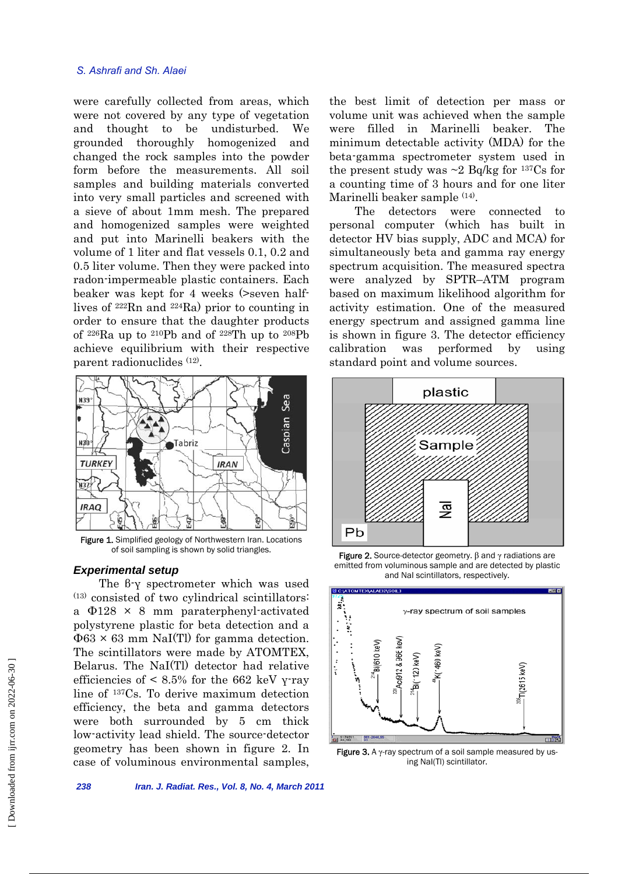#### *S. Ashrafi and Sh. Alaei*

were carefully collected from areas, which were not covered by any type of vegetation and thought to be undisturbed. We grounded thoroughly homogenized and changed the rock samples into the powder form before the measurements. All soil samples and building materials converted into very small particles and screened with a sieve of about 1mm mesh. The prepared and homogenized samples were weighted and put into Marinelli beakers with the volume of 1 liter and flat vessels 0.1, 0.2 and 0.5 liter volume. Then they were packed into radon-impermeable plastic containers. Each beaker was kept for 4 weeks (>seven halflives of 222Rn and 224Ra) prior to counting in order to ensure that the daughter products of 226Ra up to 210Pb and of 228Th up to 208Pb achieve equilibrium with their respective parent radionuclides (12).



Figure 1. Simplified geology of Northwestern Iran. Locations of soil sampling is shown by solid triangles.

#### *Experimental setup*

 The β-γ spectrometer which was used  $(13)$  consisted of two cylindrical scintillators: a Φ128 × 8 mm paraterphenyl-activated polystyrene plastic for beta detection and a  $\Phi$ 63 × 63 mm NaI(Tl) for gamma detection. The scintillators were made by ATOMTEX, Belarus. The NaI(Tl) detector had relative efficiencies of  $\leq 8.5\%$  for the 662 keV γ-ray line of 137Cs. To derive maximum detection efficiency, the beta and gamma detectors were both surrounded by 5 cm thick low-activity lead shield. The source-detector geometry has been shown in figure 2. In case of voluminous environmental samples,

the best limit of detection per mass or volume unit was achieved when the sample were filled in Marinelli beaker. The minimum detectable activity (MDA) for the beta-gamma spectrometer system used in the present study was  $\sim$ 2 Bq/kg for <sup>137</sup>Cs for a counting time of 3 hours and for one liter Marinelli beaker sample <sup>(14)</sup>.

 The detectors were connected to personal computer (which has built in detector HV bias supply, ADC and MCA) for simultaneously beta and gamma ray energy spectrum acquisition. The measured spectra were analyzed by SPTR–ATM program based on maximum likelihood algorithm for activity estimation. One of the measured energy spectrum and assigned gamma line is shown in figure 3. The detector efficiency calibration was performed by using standard point and volume sources.



Figure 2. Source-detector geometry.  $β$  and  $γ$  radiations are emitted from voluminous sample and are detected by plastic and NaI scintillators, respectively.



Figure 3. A  $\gamma$ -ray spectrum of a soil sample measured by using NaI(Tl) scintillator.

*238 Iran. J. Radiat. Res., Vol. 8, No. 4, March 2011*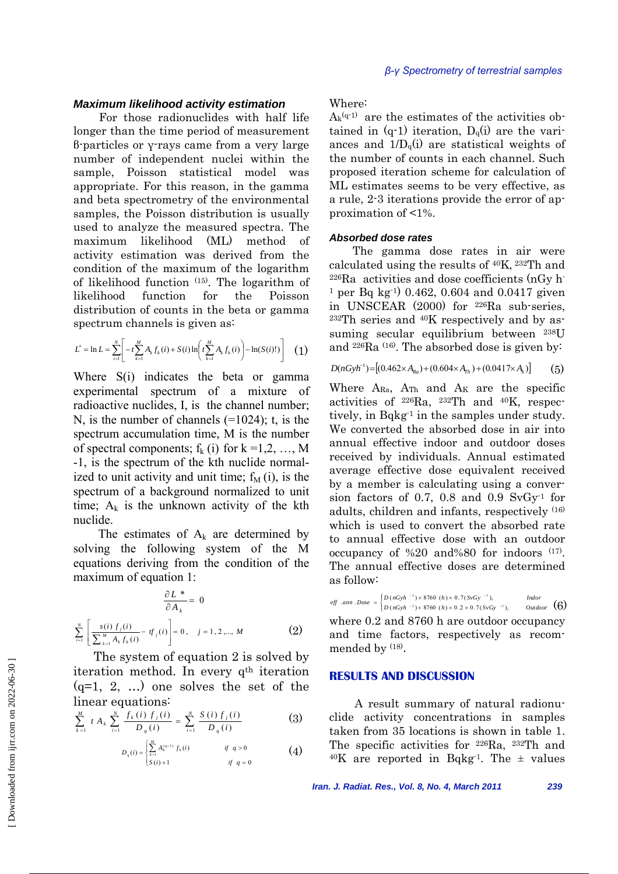#### *Maximum likelihood activity estimation*

 For those radionuclides with half life longer than the time period of measurement β-particles or γ-rays came from a very large number of independent nuclei within the sample, Poisson statistical model was appropriate. For this reason, in the gamma and beta spectrometry of the environmental samples, the Poisson distribution is usually used to analyze the measured spectra. The maximum likelihood (ML) method of activity estimation was derived from the condition of the maximum of the logarithm of likelihood function (15). The logarithm of likelihood function for the Poisson distribution of counts in the beta or gamma spectrum channels is given as:

$$
L^* = \ln L = \sum_{i=1}^N \left[ -t \sum_{k=1}^M A_k f_k(i) + S(i) \ln \left( t \sum_{k=1}^M A_k f_k(i) \right) - \ln(S(i)!) \right] \tag{1}
$$

Where S(i) indicates the beta or gamma experimental spectrum of a mixture of radioactive nuclides, I, is the channel number; N, is the number of channels (=1024); t, is the spectrum accumulation time, M is the number of spectral components;  $f_k$  (i) for  $k = 1, 2, ..., M$ -1, is the spectrum of the kth nuclide normalized to unit activity and unit time;  $f<sub>M</sub>$  (i), is the spectrum of a background normalized to unit time;  $A_k$  is the unknown activity of the kth nuclide.

The estimates of  $A_k$  are determined by solving the following system of the M equations deriving from the condition of the maximum of equation 1:

$$
\frac{\partial L^*}{\partial A_k} = 0
$$
  

$$
\sum_{i=1}^N \left[ \frac{s(i) \ f_j(i)}{\sum_{k=1}^N A_k f_k(i)} - tf_j(i) \right] = 0, \quad j = 1, 2, ..., M
$$
 (2)

The system of equation 2 is solved by iteration method. In every q<sup>th</sup> iteration  $(q=1, 2, ...)$  one solves the set of the linear equations:

$$
\sum_{k=1}^{M} t A_k \sum_{i=1}^{N} \frac{f_k(i) f_j(i)}{D_q(i)} = \sum_{i=1}^{N} \frac{S(i) f_j(i)}{D_q(i)} \tag{3}
$$

$$
D_q(i) = \begin{cases} \sum_{k=1}^{M} A_k^{(q-1)} f_k(i) & \text{if } q > 0\\ S(i) + 1 & \text{if } q = 0 \end{cases}
$$
 (4)

Where:

 $A_k^{(q-1)}$  are the estimates of the activities obtained in  $(q-1)$  iteration,  $D_q(i)$  are the variances and  $1/D_q(i)$  are statistical weights of the number of counts in each channel. Such proposed iteration scheme for calculation of ML estimates seems to be very effective, as a rule, 2-3 iterations provide the error of approximation of <1%.

#### *Absorbed dose rates*

The gamma dose rates in air were calculated using the results of 40K, 232Th and  $226Ra$  activities and dose coefficients (nGy h-<sup>1</sup> per Bq kg<sup>-1</sup>) 0.462, 0.604 and 0.0417 given in UNSCEAR (2000) for 226Ra sub-series,  $232Th$  series and  $40K$  respectively and by assuming secular equilibrium between 238U and  $^{226}Ra$  (16). The absorbed dose is given by:

$$
D(nGyh^{-1}) = [(0.462 \times A_{Ra}) + (0.604 \times A_{Th}) + (0.0417 \times A_k)] \tag{5}
$$

Where  $A_{Ra}$ ,  $A_{Th}$  and  $A_K$  are the specific activities of 226Ra, 232Th and 40K, respectively, in Bqkg<sup>1</sup> in the samples under study. We converted the absorbed dose in air into annual effective indoor and outdoor doses received by individuals. Annual estimated average effective dose equivalent received by a member is calculating using a conversion factors of 0.7, 0.8 and 0.9  $SvGy<sup>1</sup>$  for adults, children and infants, respectively (16) which is used to convert the absorbed rate to annual effective dose with an outdoor occupancy of %20 and%80 for indoors (17). The annual effective doses are determined as follow:

where 0.2 and 8760 h are outdoor occupancy and time factors, respectively as recommended by <sup>(18)</sup>. ⎪⎩ ⎪ ⎨ ⎧  $= \begin{cases} D (nGyh^{-1}) \times 8760 (h) \times 0.7 (SvGy^{-1}), \\ D (nGyh^{-1}) \times 8760 (h) \times 0.2 \times 0.7 (SvGy^{-1}) \end{cases}$ *eff*  $\therefore$  *ann*  $\therefore$  *Dose* =  $\begin{cases} D \left( nGyh^{-1} \right) \times 8760 \left( h \right) \times 0.7 \left( SvGy^{-1} \right), \\ D \left( nGyh^{-1} \right) \times 8760 \left( h \right) \times 0.2 \times 0.7 \left( SvGy^{-1} \right), \end{cases}$  *Outdoor*  $_{\textit{Outdoor}}$  (6)

# **RESULTS AND DISCUSSION**

 A result summary of natural radionuclide activity concentrations in samples taken from 35 locations is shown in table 1. The specific activities for 226Ra, 232Th and  $40K$  are reported in Bqkg<sup>-1</sup>. The  $\pm$  values

*Iran. J. Radiat. Res., Vol. 8, No. 4, March 2011 239*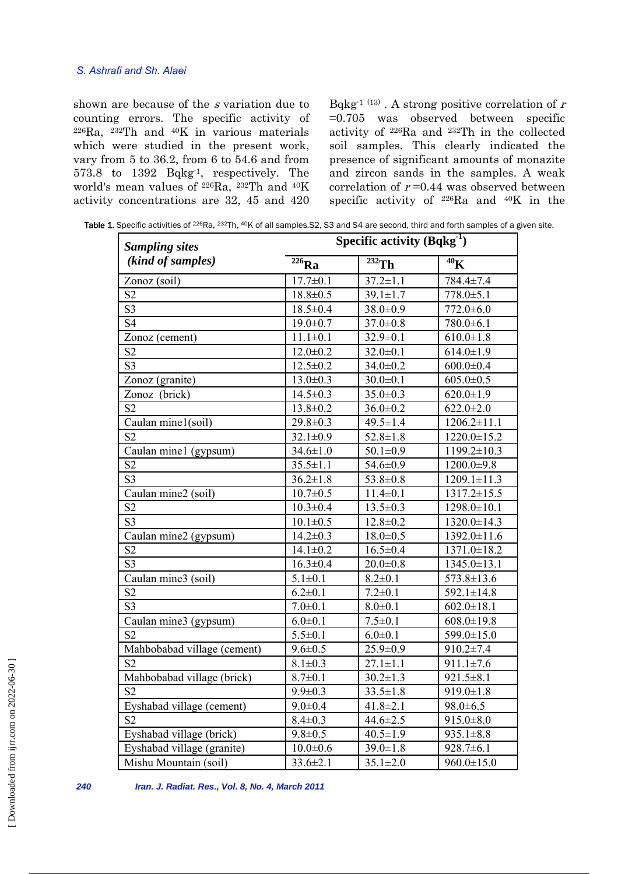# *S. Ashrafi and Sh. Alaei*

shown are because of the s variation due to counting errors. The specific activity of 226Ra, 232Th and 40K in various materials which were studied in the present work, vary from 5 to 36.2, from 6 to 54.6 and from 573.8 to 1392 Bqkg-1, respectively. The world's mean values of 226Ra, 232Th and 40K activity concentrations are 32, 45 and 420 Bqkg<sup>-1 (13)</sup>. A strong positive correlation of  $r$ =0.705 was observed between specific activity of 226Ra and 232Th in the collected soil samples. This clearly indicated the presence of significant amounts of monazite and zircon sands in the samples. A weak correlation of  $r = 0.44$  was observed between specific activity of 226Ra and 40K in the

Table 1. Specific activities of <sup>226</sup>Ra, <sup>232</sup>Th, <sup>40</sup>K of all samples.S2, S3 and S4 are second, third and forth samples of a given site.

| <b>Sampling sites</b>       | Specific activity $(Bqkg^{-1})$ |                        |                              |  |
|-----------------------------|---------------------------------|------------------------|------------------------------|--|
| (kind of samples)           | $226$ Ra                        | $\overline{^{232}}$ Th | $\overline{{}^{40}\text{K}}$ |  |
| Zonoz (soil)                | $17.7 \pm 0.1$                  | $37.2 \pm 1.1$         | 784.4±7.4                    |  |
| S <sub>2</sub>              | $18.8 \pm 0.5$                  | $39.1 \pm 1.7$         | $778.0 \pm 5.1$              |  |
| S3                          | $18.5 \pm 0.4$                  | $38.0 \pm 0.9$         | $772.0 \pm 6.0$              |  |
| S <sub>4</sub>              | $19.0 \pm 0.7$                  | $37.0 \pm 0.8$         | $780.0 \pm 6.1$              |  |
| Zonoz (cement)              | $11.1 \pm 0.1$                  | $32.9 \pm 0.1$         | $610.0 \pm 1.8$              |  |
| S <sub>2</sub>              | $12.0 \pm 0.2$                  | $32.0 \pm 0.1$         | $614.0 \pm 1.9$              |  |
| S <sub>3</sub>              | $12.5 \pm 0.2$                  | $34.0 \pm 0.2$         | $600.0 \pm 0.4$              |  |
| Zonoz (granite)             | $13.0 \pm 0.3$                  | $30.0 \pm 0.1$         | $605.0 \pm 0.5$              |  |
| Zonoz (brick)               | $14.5 \pm 0.3$                  | $35.0 \pm 0.3$         | $620.0 \pm 1.9$              |  |
| S <sub>2</sub>              | $13.8 \pm 0.2$                  | $36.0 \pm 0.2$         | $622.0 \pm 2.0$              |  |
| Caulan mine1(soil)          | $29.8 \pm 0.3$                  | $49.5 \pm 1.4$         | $1206.2 \pm 11.1$            |  |
| S <sub>2</sub>              | $32.1 \pm 0.9$                  | $52.8 \pm 1.8$         | $1220.0 \pm 15.2$            |  |
| Caulan mine1 (gypsum)       | $34.6 \pm 1.0$                  | $50.1 \pm 0.9$         | $1199.2 \pm 10.3$            |  |
| S <sub>2</sub>              | $35.5 \pm 1.1$                  | 54.6±0.9               | $1200.0 \pm 9.8$             |  |
| S <sub>3</sub>              | $36.2 \pm 1.8$                  | $53.8 \pm 0.8$         | $1209.1 \pm 11.3$            |  |
| Caulan mine2 (soil)         | $10.7 \pm 0.5$                  | $11.4 \pm 0.1$         | $1317.2 \pm 15.5$            |  |
| S <sub>2</sub>              | $10.3 \pm 0.4$                  | $13.5 \pm 0.3$         | $1298.0 \pm 10.1$            |  |
| S <sub>3</sub>              | $10.1 \pm 0.5$                  | $12.8 \pm 0.2$         | $1320.0 \pm 14.3$            |  |
| Caulan mine2 (gypsum)       | $14.2 \pm 0.3$                  | $18.0 \pm 0.5$         | 1392.0±11.6                  |  |
| S <sub>2</sub>              | $14.1 \pm 0.2$                  | $16.5 \pm 0.4$         | $1371.0 \pm 18.2$            |  |
| S <sub>3</sub>              | $16.3 \pm 0.4$                  | $20.0 \pm 0.8$         | 1345.0±13.1                  |  |
| Caulan mine3 (soil)         | $5.1 \pm 0.1$                   | $8.2 \pm 0.1$          | $573.8 \pm 13.6$             |  |
| S <sub>2</sub>              | $6.2 \pm 0.1$                   | $7.2 \pm 0.1$          | $592.1 \pm 14.8$             |  |
| S <sub>3</sub>              | $7.0 \pm 0.1$                   | $8.0 \pm 0.1$          | $602.0 \pm 18.1$             |  |
| Caulan mine3 (gypsum)       | $6.0 \pm 0.1$                   | $7.5 \pm 0.1$          | $608.0 \pm 19.8$             |  |
| S <sub>2</sub>              | $5.5 \pm 0.1$                   | $6.0 + 0.1$            | 599.0±15.0                   |  |
| Mahbobabad village (cement) | $9.6 \pm 0.5$                   | $25.9 \pm 0.9$         | $910.2 \pm 7.4$              |  |
| S <sub>2</sub>              | $8.1 \pm 0.3$                   | $27.1 \pm 1.1$         | $911.1 \pm 7.6$              |  |
| Mahbobabad village (brick)  | $8.7 \pm 0.1$                   | $30.2 \pm 1.3$         | $921.5 \pm 8.1$              |  |
| S <sub>2</sub>              | $9.9 \pm 0.3$                   | $33.5 \pm 1.8$         | $919.0 \pm 1.8$              |  |
| Eyshabad village (cement)   | $9.0 \pm 0.4$                   | $41.8 \pm 2.1$         | $98.0 \pm 6.5$               |  |
| S <sub>2</sub>              | $8.4 \pm 0.3$                   | $44.6 \pm 2.5$         | $915.0 \pm 8.0$              |  |
| Eyshabad village (brick)    | $9.8 \pm 0.5$                   | $40.5 \pm 1.9$         | $935.1 \pm 8.8$              |  |
| Eyshabad village (granite)  | $10.0 \pm 0.6$                  | $39.0 \pm 1.8$         | $928.7 \pm 6.1$              |  |
| Mishu Mountain (soil)       | $33.6 \pm 2.1$                  | $35.1 \pm 2.0$         | $960.0 \pm 15.0$             |  |

*240 Iran. J. Radiat. Res., Vol. 8, No. 4, March 2011*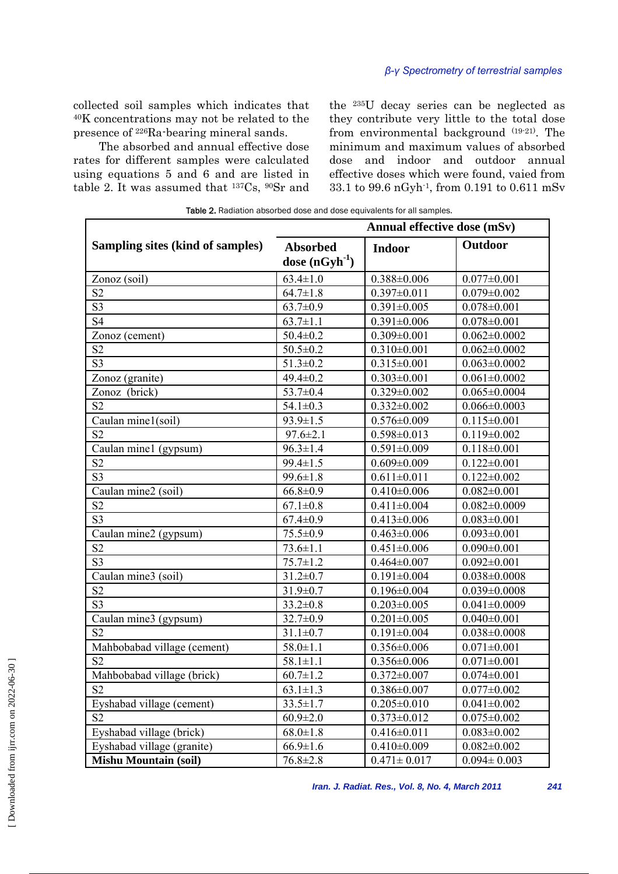collected soil samples which indicates that 40K concentrations may not be related to the presence of 226Ra-bearing mineral sands.

 The absorbed and annual effective dose rates for different samples were calculated using equations 5 and 6 and are listed in table 2. It was assumed that 137Cs, 90Sr and the 235U decay series can be neglected as they contribute very little to the total dose from environmental background (19-21). The minimum and maximum values of absorbed dose and indoor and outdoor annual effective doses which were found, vaied from 33.1 to 99.6 nGyh-1, from 0.191 to 0.611 mSv

|                                  |                                       | $\alpha$ . Requestion about be upon the and upon equivalents for all samples.<br>Annual effective dose (mSv) |                    |  |
|----------------------------------|---------------------------------------|--------------------------------------------------------------------------------------------------------------|--------------------|--|
| Sampling sites (kind of samples) | <b>Absorbed</b><br>dose $(nGyh^{-1})$ | <b>Indoor</b>                                                                                                | Outdoor            |  |
| Zonoz (soil)                     | $63.4 \pm 1.0$                        | $0.388 \pm 0.006$                                                                                            | $0.077 \pm 0.001$  |  |
| S <sub>2</sub>                   | $64.7 \pm 1.8$                        | $0.397 \pm 0.011$                                                                                            | $0.079 \pm 0.002$  |  |
| S <sub>3</sub>                   | $63.7 \pm 0.9$                        | $0.391 \pm 0.005$                                                                                            | $0.078 \pm 0.001$  |  |
| S <sub>4</sub>                   | $63.7 \pm 1.1$                        | $0.391 \pm 0.006$                                                                                            | $0.078 \pm 0.001$  |  |
| Zonoz (cement)                   | $50.4 \pm 0.2$                        | $0.309 \pm 0.001$                                                                                            | $0.062 \pm 0.0002$ |  |
| S <sub>2</sub>                   | $50.5 \pm 0.2$                        | $0.310 \pm 0.001$                                                                                            | $0.062 \pm 0.0002$ |  |
| S <sub>3</sub>                   | $51.3 \pm 0.2$                        | $0.315 \pm 0.001$                                                                                            | $0.063 \pm 0.0002$ |  |
| Zonoz (granite)                  | $49.4 \pm 0.2$                        | $0.303 \pm 0.001$                                                                                            | $0.061 \pm 0.0002$ |  |
| Zonoz (brick)                    | $53.7 \pm 0.4$                        | $0.329 \pm 0.002$                                                                                            | $0.065 \pm 0.0004$ |  |
| S <sub>2</sub>                   | $54.1 \pm 0.3$                        | $0.332 \pm 0.002$                                                                                            | $0.066 \pm 0.0003$ |  |
| Caulan mine1(soil)               | $93.9 \pm 1.5$                        | $0.576 \pm 0.009$                                                                                            | $0.115 \pm 0.001$  |  |
| S <sub>2</sub>                   | $97.6 \pm 2.1$                        | $0.598 \pm 0.013$                                                                                            | $0.119 \pm 0.002$  |  |
| Caulan mine1 (gypsum)            | $96.3 \pm 1.4$                        | $0.591 \pm 0.009$                                                                                            | $0.118 \pm 0.001$  |  |
| S <sub>2</sub>                   | $99.4 \pm 1.5$                        | $0.609 \pm 0.009$                                                                                            | $0.122 \pm 0.001$  |  |
| S <sub>3</sub>                   | $99.6 \pm 1.8$                        | $0.611 \pm 0.011$                                                                                            | $0.122 \pm 0.002$  |  |
| Caulan mine2 (soil)              | $66.8 \pm 0.9$                        | $0.410 \pm 0.006$                                                                                            | $0.082 \pm 0.001$  |  |
| S <sub>2</sub>                   | $67.1 \pm 0.8$                        | $0.411 \pm 0.004$                                                                                            | $0.082 \pm 0.0009$ |  |
| S <sub>3</sub>                   | $67.4 \pm 0.9$                        | $0.413 \pm 0.006$                                                                                            | $0.083 \pm 0.001$  |  |
| Caulan mine2 (gypsum)            | $75.5 \pm 0.9$                        | $0.463 \pm 0.006$                                                                                            | $0.093 \pm 0.001$  |  |
| S <sub>2</sub>                   | $73.6 \pm 1.1$                        | $0.451 \pm 0.006$                                                                                            | $0.090 \pm 0.001$  |  |
| S <sub>3</sub>                   | $75.7 \pm 1.2$                        | $0.464 \pm 0.007$                                                                                            | $0.092 \pm 0.001$  |  |
| Caulan mine3 (soil)              | $31.2 \pm 0.7$                        | $0.191 \pm 0.004$                                                                                            | $0.038 \pm 0.0008$ |  |
| S <sub>2</sub>                   | $31.9 \pm 0.7$                        | $0.196 \pm 0.004$                                                                                            | $0.039 \pm 0.0008$ |  |
| S <sub>3</sub>                   | $33.2 \pm 0.8$                        | $0.203 \pm 0.005$                                                                                            | $0.041 \pm 0.0009$ |  |
| Caulan mine3 (gypsum)            | $32.7 \pm 0.9$                        | $0.201 \pm 0.005$                                                                                            | $0.040 \pm 0.001$  |  |
| S <sub>2</sub>                   | $31.1 \pm 0.7$                        | $0.191 \pm 0.004$                                                                                            | $0.038 \pm 0.0008$ |  |
| Mahbobabad village (cement)      | $58.0 \pm 1.1$                        | $0.356 \pm 0.006$                                                                                            | $0.071 \pm 0.001$  |  |
| S <sub>2</sub>                   | $58.1 \pm 1.1$                        | $0.356 \pm 0.006$                                                                                            | $0.071 \pm 0.001$  |  |
| Mahbobabad village (brick)       | $60.7 \pm 1.2$                        | $0.372 \pm 0.007$                                                                                            | $0.074 \pm 0.001$  |  |
| S <sub>2</sub>                   | $63.1 \pm 1.3$                        | $0.386 \pm 0.007$                                                                                            | $0.077 \pm 0.002$  |  |
| Eyshabad village (cement)        | $33.5 \pm 1.7$                        | $0.205 \pm 0.010$                                                                                            | $0.041 \pm 0.002$  |  |
| S <sub>2</sub>                   | $60.9 \pm 2.0$                        | $0.373 \pm 0.012$                                                                                            | $0.075 \pm 0.002$  |  |
| Eyshabad village (brick)         | $68.0 \pm 1.8$                        | $0.416 \pm 0.011$                                                                                            | $0.083 \pm 0.002$  |  |
| Eyshabad village (granite)       | $66.9 \pm 1.6$                        | $0.410 \pm 0.009$                                                                                            | $0.082 \pm 0.002$  |  |
| <b>Mishu Mountain (soil)</b>     | $76.8 \pm 2.8$                        | $0.471 \pm 0.017$                                                                                            | $0.094 \pm 0.003$  |  |

Table 2. Radiation absorbed dose and dose equivalents for all samples.

*Iran. J. Radiat. Res., Vol. 8, No. 4, March 2011 241*